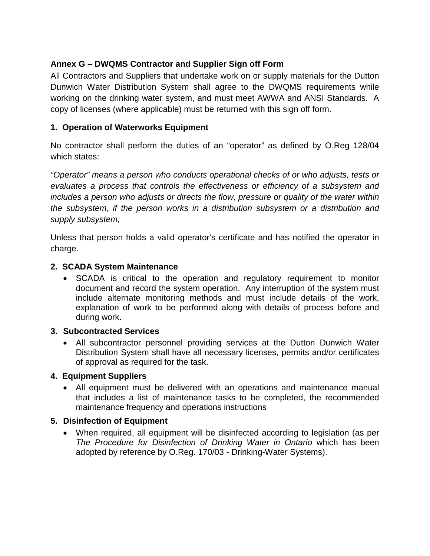# **Annex G – DWQMS Contractor and Supplier Sign off Form**

All Contractors and Suppliers that undertake work on or supply materials for the Dutton Dunwich Water Distribution System shall agree to the DWQMS requirements while working on the drinking water system, and must meet AWWA and ANSI Standards. A copy of licenses (where applicable) must be returned with this sign off form.

# **1. Operation of Waterworks Equipment**

No contractor shall perform the duties of an "operator" as defined by O.Reg 128/04 which states:

*"Operator" means a person who conducts operational checks of or who adjusts, tests or evaluates a process that controls the effectiveness or efficiency of a subsystem and includes a person who adjusts or directs the flow, pressure or quality of the water within the subsystem, if the person works in a distribution subsystem or a distribution and supply subsystem;*

Unless that person holds a valid operator's certificate and has notified the operator in charge.

#### **2. SCADA System Maintenance**

• SCADA is critical to the operation and regulatory requirement to monitor document and record the system operation. Any interruption of the system must include alternate monitoring methods and must include details of the work, explanation of work to be performed along with details of process before and during work.

#### **3. Subcontracted Services**

• All subcontractor personnel providing services at the Dutton Dunwich Water Distribution System shall have all necessary licenses, permits and/or certificates of approval as required for the task.

## **4. Equipment Suppliers**

• All equipment must be delivered with an operations and maintenance manual that includes a list of maintenance tasks to be completed, the recommended maintenance frequency and operations instructions

## **5. Disinfection of Equipment**

• When required, all equipment will be disinfected according to legislation (as per *The Procedure for Disinfection of Drinking Water in Ontario* which has been adopted by reference by O.Reg. 170/03 - Drinking-Water Systems).